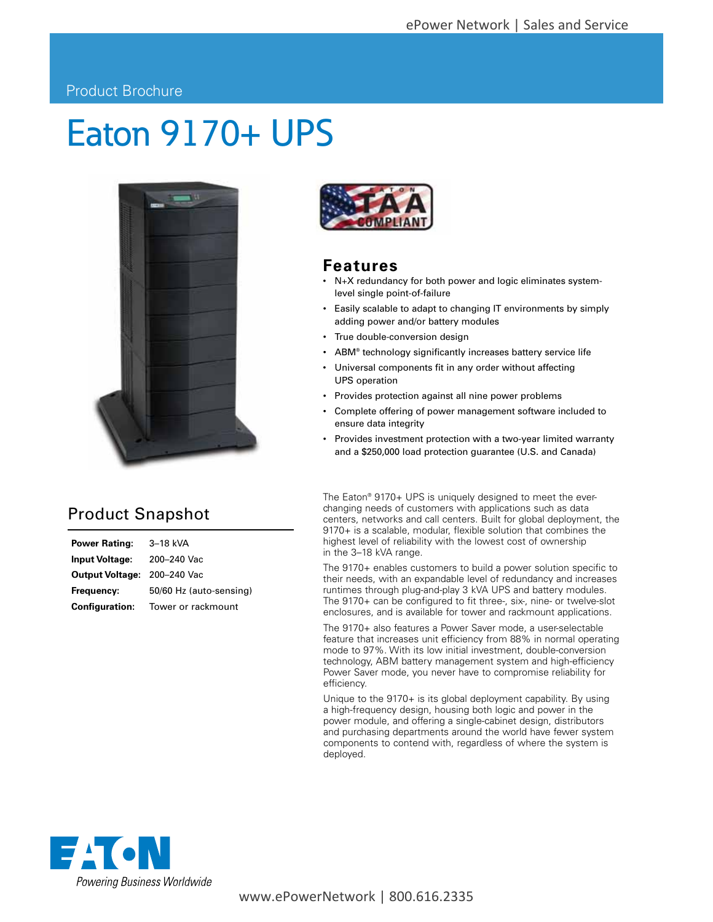#### Product Brochure

# Eaton 9170+ UPS



### Product Snapshot

| Power Rating:                      | 3–18 kVA                |
|------------------------------------|-------------------------|
| Input Voltage:                     | 200-240 Vac             |
| <b>Output Voltage: 200-240 Vac</b> |                         |
| Frequency:                         | 50/60 Hz (auto-sensing) |
| <b>Configuration:</b>              | Tower or rackmount      |



#### **Features**

- N+X redundancy for both power and logic eliminates systemlevel single point-of-failure
- Easily scalable to adapt to changing IT environments by simply adding power and/or battery modules
- True double-conversion design
- ABM® technology significantly increases battery service life
- Universal components fit in any order without affecting UPS operation
- Provides protection against all nine power problems
- Complete offering of power management software included to ensure data integrity
- Provides investment protection with a two-year limited warranty and a \$250,000 load protection guarantee (U.S. and Canada)

The Eaton® 9170+ UPS is uniquely designed to meet the everchanging needs of customers with applications such as data centers, networks and call centers. Built for global deployment, the 9170+ is a scalable, modular, flexible solution that combines the highest level of reliability with the lowest cost of ownership in the 3–18 kVA range.

The 9170+ enables customers to build a power solution specific to their needs, with an expandable level of redundancy and increases runtimes through plug-and-play 3 kVA UPS and battery modules. The 9170+ can be configured to fit three-, six-, nine- or twelve-slot enclosures, and is available for tower and rackmount applications.

The 9170+ also features a Power Saver mode, a user-selectable feature that increases unit efficiency from 88% in normal operating mode to 97%. With its low initial investment, double-conversion technology, ABM battery management system and high-efficiency Power Saver mode, you never have to compromise reliability for efficiency.

Unique to the 9170+ is its global deployment capability. By using a high-frequency design, housing both logic and power in the power module, and offering a single-cabinet design, distributors and purchasing departments around the world have fewer system components to contend with, regardless of where the system is deployed.



www.ePowerNetwork | 800.616.2335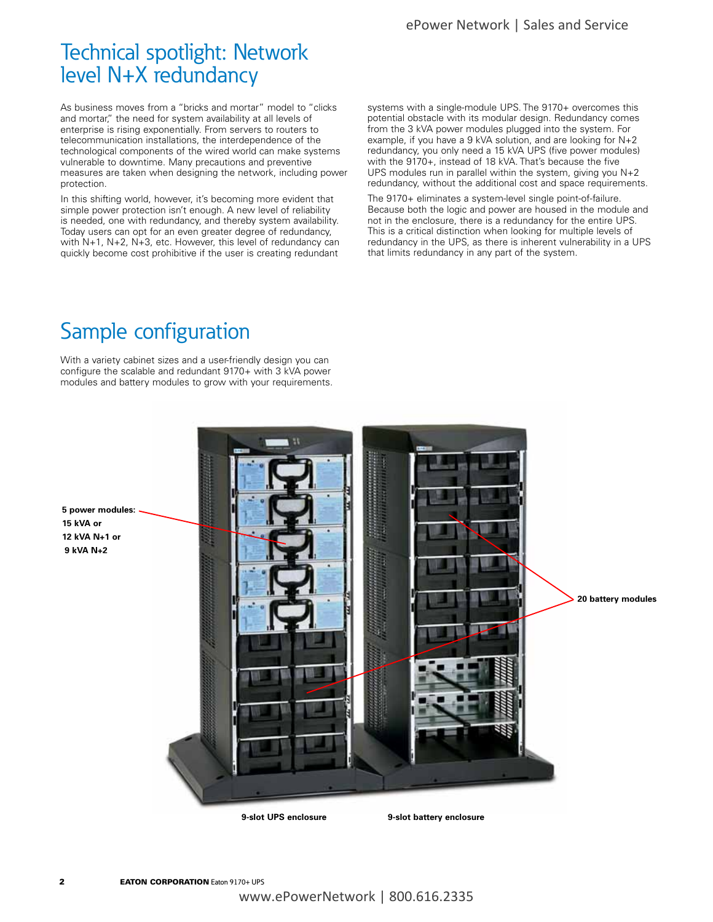### Technical spotlight: Network level N+X redundancy

As business moves from a "bricks and mortar" model to "clicks and mortar," the need for system availability at all levels of enterprise is rising exponentially. From servers to routers to telecommunication installations, the interdependence of the technological components of the wired world can make systems vulnerable to downtime. Many precautions and preventive measures are taken when designing the network, including power protection.

In this shifting world, however, it's becoming more evident that simple power protection isn't enough. A new level of reliability is needed, one with redundancy, and thereby system availability. Today users can opt for an even greater degree of redundancy, with N+1, N+2, N+3, etc. However, this level of redundancy can quickly become cost prohibitive if the user is creating redundant

systems with a single-module UPS. The 9170+ overcomes this potential obstacle with its modular design. Redundancy comes from the 3 kVA power modules plugged into the system. For example, if you have a 9 kVA solution, and are looking for N+2 redundancy, you only need a 15 kVA UPS (five power modules) with the 9170+, instead of 18 kVA. That's because the five UPS modules run in parallel within the system, giving you N+2 redundancy, without the additional cost and space requirements.

The 9170+ eliminates a system-level single point-of-failure. Because both the logic and power are housed in the module and not in the enclosure, there is a redundancy for the entire UPS. This is a critical distinction when looking for multiple levels of redundancy in the UPS, as there is inherent vulnerability in a UPS that limits redundancy in any part of the system.

### Sample configuration

With a variety cabinet sizes and a user-friendly design you can configure the scalable and redundant 9170+ with 3 kVA power modules and battery modules to grow with your requirements.



**5 power modules: 15 kVA or 12 kVA N+1 or 9 kVA N+2**

**2 EATON CORPORATION** Eaton 9170+ UPS www.ePowerNetwork | 800.616.2335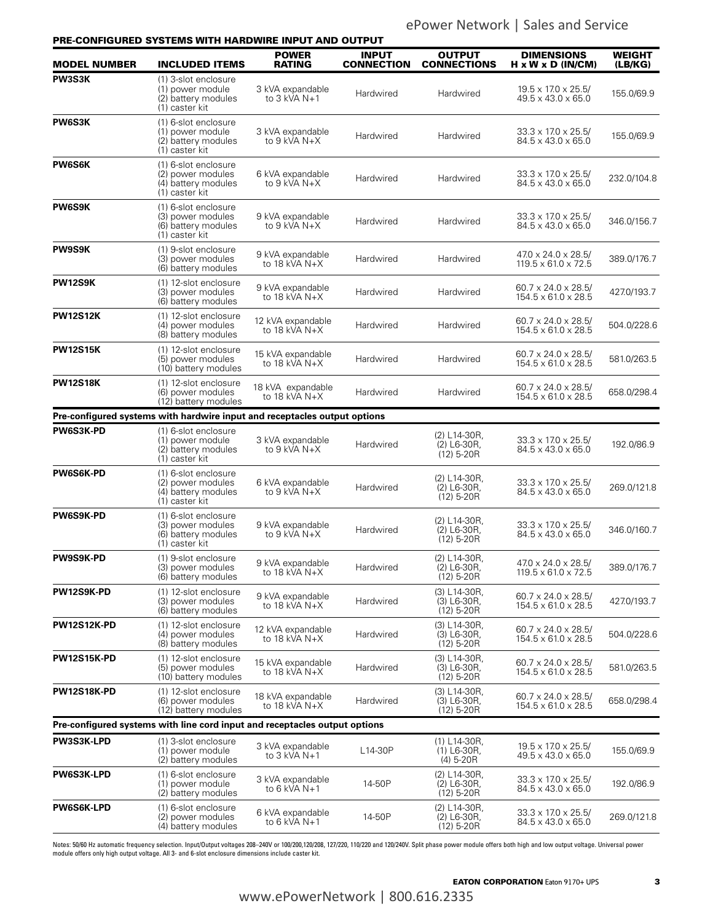ePower Network | Sales and Service

|                     | PRE-CONFIGURED SYSTEMS WITH HARDWIRE INPUT AND OUTPUT                              |                                       |                                   |                                                 |                                                                   |                   |
|---------------------|------------------------------------------------------------------------------------|---------------------------------------|-----------------------------------|-------------------------------------------------|-------------------------------------------------------------------|-------------------|
| <b>MODEL NUMBER</b> | <b>INCLUDED ITEMS</b>                                                              | <b>POWER</b><br><b>RATING</b>         | <b>INPUT</b><br><b>CONNECTION</b> | OUTPUT<br><b>CONNECTIONS</b>                    | <b>DIMENSIONS</b><br>$H \times W \times D$ (IN/CM)                | WEIGHT<br>(LB/KG) |
| PW3S3K              | (1) 3-slot enclosure<br>(1) power module<br>(2) battery modules<br>(1) caster kit  | 3 kVA expandable<br>to 3 kVA N+1      | Hardwired                         | Hardwired                                       | $19.5 \times 17.0 \times 25.5$<br>49.5 x 43.0 x 65.0              | 155.0/69.9        |
| PW6S3K              | (1) 6-slot enclosure<br>(1) power module<br>(2) battery modules<br>(1) caster kit  | 3 kVA expandable<br>to 9 kVA N+X      | Hardwired                         | Hardwired                                       | 33.3 x 17.0 x 25.5/<br>84.5 x 43.0 x 65.0                         | 155.0/69.9        |
| <b>PW6S6K</b>       | (1) 6-slot enclosure<br>(2) power modules<br>(4) battery modules<br>(1) caster kit | 6 kVA expandable<br>to 9 kVA N+X      | Hardwired                         | Hardwired                                       | 33.3 x 17.0 x 25.5/<br>$84.5 \times 43.0 \times 65.0$             | 232.0/104.8       |
| PW6S9K              | (1) 6-slot enclosure<br>(3) power modules<br>(6) battery modules<br>(1) caster kit | 9 kVA expandable<br>to 9 kVA N+X      | Hardwired                         | Hardwired                                       | $33.3 \times 17.0 \times 25.5$<br>84.5 x 43.0 x 65.0              | 346.0/156.7       |
| <b>PW9S9K</b>       | (1) 9-slot enclosure<br>(3) power modules<br>(6) battery modules                   | 9 kVA expandable<br>to 18 kVA $N+X$   | Hardwired                         | Hardwired                                       | $47.0 \times 24.0 \times 28.5$<br>$119.5 \times 61.0 \times 72.5$ | 389.0/176.7       |
| PW12S9K             | (1) 12-slot enclosure<br>(3) power modules<br>(6) battery modules                  | 9 kVA expandable<br>to $18$ kVA $N+X$ | Hardwired                         | Hardwired                                       | $60.7 \times 24.0 \times 28.5$<br>154.5 x 61.0 x 28.5             | 427.0/193.7       |
| <b>PW12S12K</b>     | (1) 12-slot enclosure<br>(4) power modules<br>(8) battery modules                  | 12 kVA expandable<br>to 18 kVA $N+X$  | Hardwired                         | Hardwired                                       | $60.7 \times 24.0 \times 28.5$<br>$154.5 \times 61.0 \times 28.5$ | 504.0/228.6       |
| <b>PW12S15K</b>     | (1) 12-slot enclosure<br>(5) power modules<br>(10) battery modules                 | 15 kVA expandable<br>to 18 kVA $N+X$  | Hardwired                         | Hardwired                                       | $60.7 \times 24.0 \times 28.5$<br>154.5 x 61.0 x 28.5             | 581.0/263.5       |
| <b>PW12S18K</b>     | (1) 12-slot enclosure<br>(6) power modules<br>(12) battery modules                 | 18 kVA expandable<br>to 18 kVA $N+X$  | Hardwired                         | Hardwired                                       | $60.7 \times 24.0 \times 28.5$<br>154.5 x 61.0 x 28.5             | 658.0/298.4       |
|                     | Pre-configured systems with hardwire input and receptacles output options          |                                       |                                   |                                                 |                                                                   |                   |
| PW6S3K-PD           | (1) 6-slot enclosure<br>(1) power module<br>(2) battery modules<br>(1) caster kit  | 3 kVA expandable<br>to 9 kVA N+X      | Hardwired                         | $(2) L14-30R,$<br>$(2)$ L6-30R,<br>$(12)$ 5-20R | 33.3 x 17.0 x 25.5/<br>84.5 x 43.0 x 65.0                         | 192.0/86.9        |
| <b>PW6S6K-PD</b>    | (1) 6-slot enclosure<br>(2) power modules<br>(4) battery modules<br>(1) caster kit | 6 kVA expandable<br>to 9 kVA N+X      | Hardwired                         | (2) L14-30R,<br>$(2)$ L6-30R,<br>$(12)$ 5-20R   | 33.3 x 17.0 x 25.5/<br>84.5 x 43.0 x 65.0                         | 269.0/121.8       |
| PW6S9K-PD           | (1) 6-slot enclosure<br>(3) power modules<br>(6) battery modules<br>(1) caster kit | 9 kVA expandable<br>to 9 kVA $N+X$    | Hardwired                         | (2) L14-30R,<br>$(2)$ L6-30R,<br>$(12)$ 5-20R   | 33.3 x 17.0 x 25.5/<br>84.5 x 43.0 x 65.0                         | 346.0/160.7       |
| <b>PW9S9K-PD</b>    | (1) 9-slot enclosure<br>(3) power modules<br>(6) battery modules                   | 9 kVA expandable<br>to 18 kVA $N+X$   | Hardwired                         | (2) L14-30R,<br>(2) L6-30R,<br>$(12)$ 5-20R     | 47.0 x 24.0 x 28.5/<br>119.5 x 61.0 x 72.5                        | 389.0/176.7       |
| PW12S9K-PD          | (1) 12-slot enclosure<br>(3) power modules<br>(6) battery modules                  | 9 kVA expandable<br>to 18 kVA $N+X$   | Hardwired                         | (3) L14-30R,<br>(3) L6-30R,<br>$(12)$ 5-20R     | $60.7 \times 24.0 \times 28.5$<br>$154.5 \times 61.0 \times 28.5$ | 427.0/193.7       |
| <b>PW12S12K-PD</b>  | (1) 12-slot enclosure<br>(4) power modules<br>(8) battery modules                  | 12 kVA expandable<br>to 18 kVA $N+X$  | Hardwired                         | $(3) L14-30R,$<br>$(3)$ L6-30R,<br>$(12)$ 5-20R | $60.7 \times 24.0 \times 28.5$<br>$154.5 \times 61.0 \times 28.5$ | 504.0/228.6       |
| <b>PW12S15K-PD</b>  | (1) 12-slot enclosure<br>(5) power modules<br>(10) battery modules                 | 15 kVA expandable<br>to 18 kVA N+X    | Hardwired                         | $(3) L14-30R,$<br>(3) L6-30R,<br>$(12)$ 5-20R   | $60.7 \times 24.0 \times 28.5$<br>$154.5 \times 61.0 \times 28.5$ | 581.0/263.5       |
| <b>PW12S18K-PD</b>  | (1) 12-slot enclosure<br>(6) power modules<br>(12) battery modules                 | 18 kVA expandable<br>to 18 kVA $N+X$  | Hardwired                         | (3) L14-30R,<br>(3) L6-30R,<br>$(12)$ 5-20R     | $60.7 \times 24.0 \times 28.5$<br>154.5 x 61.0 x 28.5             | 658.0/298.4       |
|                     | Pre-configured systems with line cord input and receptacles output options         |                                       |                                   |                                                 |                                                                   |                   |
| PW3S3K-LPD          | (1) 3-slot enclosure<br>(1) power module<br>(2) battery modules                    | 3 kVA expandable<br>to 3 kVA N+1      | L14-30P                           | $(1) L14-30R,$<br>$(1)$ L6-30R,<br>$(4)$ 5-20R  | $19.5 \times 17.0 \times 25.5$<br>49.5 x 43.0 x 65.0              | 155.0/69.9        |
| PW6S3K-LPD          | (1) 6-slot enclosure<br>(1) power module<br>(2) battery modules                    | 3 kVA expandable<br>to 6 kVA $N+1$    | 14-50P                            | (2) L14-30R,<br>(2) L6-30R,<br>$(12)$ 5-20R     | 33.3 x 17.0 x 25.5/<br>84.5 x 43.0 x 65.0                         | 192.0/86.9        |
| PW6S6K-LPD          | (1) 6-slot enclosure<br>(2) power modules<br>(4) battery modules                   | 6 kVA expandable<br>to $6$ kVA $N+1$  | 14-50P                            | (2) L14-30R,<br>(2) L6-30R,<br>$(12)$ 5-20R     | $33.3 \times 17.0 \times 25.5$<br>84.5 x 43.0 x 65.0              | 269.0/121.8       |

Notes: 50/60 Hz automatic frequency selection. Input/Output voltages 208–240V or 100/200,120/208, 127/220, 110/220 and 120/240V. Split phase power module offers both high and low output voltage. Universal power<br>module offe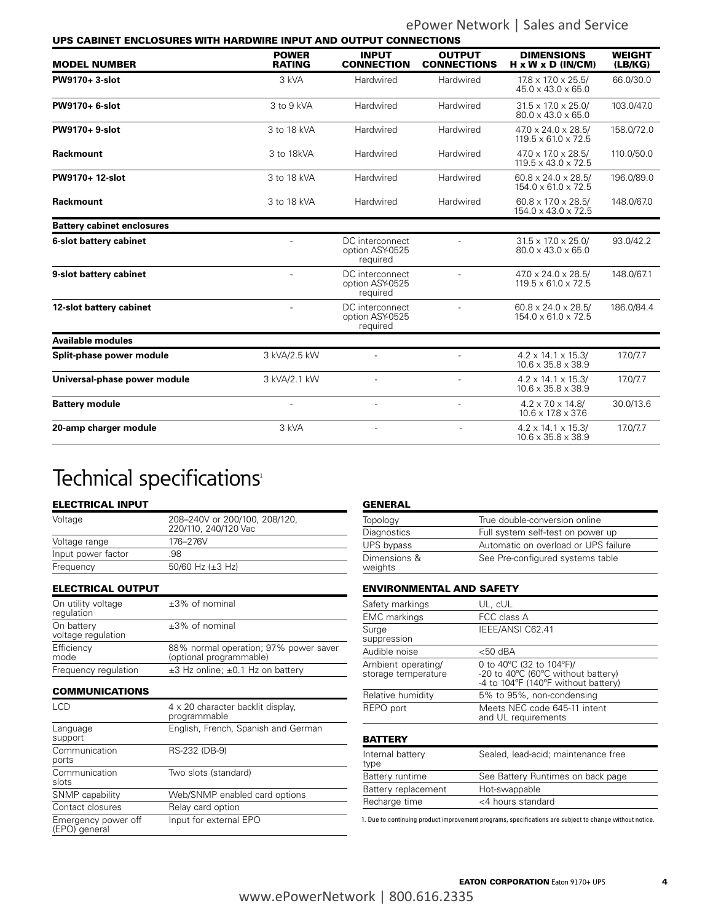ePower Network | Sales and Service

| UPS CABINET ENCLOSURES WITH HARDWIRE INPUT AND OUTPUT CONNECTIONS |                               |                                                |                                     |                                                                   |                          |
|-------------------------------------------------------------------|-------------------------------|------------------------------------------------|-------------------------------------|-------------------------------------------------------------------|--------------------------|
| <b>MODEL NUMBER</b>                                               | <b>POWER</b><br><b>RATING</b> | <b>INPUT</b><br><b>CONNECTION</b>              | <b>OUTPUT</b><br><b>CONNECTIONS</b> | <b>DIMENSIONS</b><br>$H \times W \times D$ (IN/CM)                | <b>WEIGHT</b><br>(LB/KG) |
| PW9170+3-slot                                                     | 3 kVA                         | Hardwired                                      | Hardwired                           | 17.8 x 17.0 x 25.5/<br>$45.0 \times 43.0 \times 65.0$             | 66.0/30.0                |
| PW9170+ 6-slot                                                    | 3 to 9 kVA                    | Hardwired<br>Hardwired                         |                                     | $31.5 \times 17.0 \times 25.0$<br>$80.0 \times 43.0 \times 65.0$  | 103.0/47.0               |
| <b>PW9170+9-slot</b>                                              | 3 to 18 kVA                   | Hardwired                                      | Hardwired                           |                                                                   | 158.0/72.0               |
| Rackmount                                                         | 3 to 18kVA                    | Hardwired                                      | Hardwired                           | $470 \times 170 \times 28.5$<br>$119.5 \times 43.0 \times 72.5$   | 110.0/50.0               |
| PW9170+ 12-slot                                                   | 3 to 18 kVA                   | Hardwired                                      | Hardwired                           | $60.8 \times 24.0 \times 28.5$<br>$154.0 \times 61.0 \times 72.5$ | 196.0/89.0               |
| Rackmount                                                         | 3 to 18 kVA                   | Hardwired                                      | Hardwired                           | 60.8 x 17.0 x 28.5/<br>154.0 x 43.0 x 72.5                        | 148.0/67.0               |
| <b>Battery cabinet enclosures</b>                                 |                               |                                                |                                     |                                                                   |                          |
| 6-slot battery cabinet                                            | $\overline{a}$                | DC interconnect<br>option ASY-0525<br>required |                                     |                                                                   | 93.0/42.2                |
| 9-slot battery cabinet                                            | $\overline{a}$                | DC interconnect<br>option ASY-0525<br>required |                                     | $47.0 \times 24.0 \times 28.5$<br>$119.5 \times 61.0 \times 72.5$ | 148.0/67.1               |
| 12-slot battery cabinet                                           | $\overline{a}$                | DC interconnect<br>option ASY-0525<br>required |                                     | $60.8 \times 24.0 \times 28.5$<br>$154.0 \times 61.0 \times 72.5$ | 186.0/84.4               |
| <b>Available modules</b>                                          |                               |                                                |                                     |                                                                   |                          |
| Split-phase power module                                          | 3 kVA/2.5 kW                  |                                                |                                     | $4.2 \times 14.1 \times 15.3$ /<br>$10.6 \times 35.8 \times 38.9$ | 17.0/7.7                 |
| Universal-phase power module                                      | 3 kVA/2.1 kW                  |                                                |                                     | $4.2 \times 14.1 \times 15.3$<br>$10.6 \times 35.8 \times 38.9$   | 17.0/7.7                 |
| <b>Battery module</b>                                             | $\overline{a}$                |                                                |                                     | $4.2 \times 7.0 \times 14.8$<br>$10.6 \times 17.8 \times 37.6$    | 30.0/13.6                |
| 20-amp charger module                                             | 3 kVA                         |                                                |                                     | $4.2 \times 14.1 \times 15.3$<br>$10.6 \times 35.8 \times 38.9$   | 17.0/7.7                 |

### Technical specifications<sup>1</sup>

#### ELECTRICAL INPUT

| 208-240V or 200/100, 208/120,<br>220/110, 240/120 Vac |
|-------------------------------------------------------|
| 176-276V                                              |
| 98                                                    |
| 50/60 Hz $(\pm 3$ Hz)                                 |
|                                                       |

ELECTRICAL OUTPUT

| On utility voltage<br>requlation | $±3\%$ of nominal                                                |
|----------------------------------|------------------------------------------------------------------|
| On battery<br>voltage regulation | $±3\%$ of nominal                                                |
| Efficiency<br>mode               | 88% normal operation; 97% power saver<br>(optional programmable) |
| Frequency regulation             | $\pm$ 3 Hz online; $\pm$ 0.1 Hz on battery                       |

#### COMMUNICATIONS

| LCD                                  | 4 x 20 character backlit display.<br>programmable |
|--------------------------------------|---------------------------------------------------|
| Language<br>support                  | English, French, Spanish and German               |
| Communication<br>ports               | RS-232 (DB-9)                                     |
| Communication<br>slots               | Two slots (standard)                              |
| SNMP capability                      | Web/SNMP enabled card options                     |
| Contact closures                     | Relay card option                                 |
| Emergency power off<br>(EPO) general | Input for external EPO                            |

| <b>GENERAL</b>          |                                      |
|-------------------------|--------------------------------------|
| Topology                | True double-conversion online        |
| Diagnostics             | Full system self-test on power up    |
| UPS bypass              | Automatic on overload or UPS failure |
| Dimensions &<br>weights | See Pre-configured systems table     |

#### ENVIRONMENTAL AND SAFETY

| Safety markings                           | UL, cUL                                                                                                 |
|-------------------------------------------|---------------------------------------------------------------------------------------------------------|
| <b>EMC</b> markings                       | FCC class A                                                                                             |
| Surge<br>suppression                      | IEEE/ANSI C62.41                                                                                        |
| Audible noise                             | $<$ 50 dBA                                                                                              |
| Ambient operating/<br>storage temperature | 0 to 40 °C (32 to 104 °F)/<br>-20 to 40°C (60°C without battery)<br>-4 to 104°F (140°F without battery) |
| Relative humidity                         | 5% to 95%, non-condensing                                                                               |
| REPO port                                 | Meets NEC code 645-11 intent<br>and UL requirements                                                     |
| <b>BATTERY</b>                            |                                                                                                         |
| Internal battery<br>type                  | Sealed, lead-acid; maintenance free                                                                     |
| Battery runtime                           | See Battery Runtimes on back page                                                                       |
| Battery replacement                       | Hot-swappable                                                                                           |
| Recharge time                             | <4 hours standard                                                                                       |
|                                           |                                                                                                         |

1. Due to continuing product improvement programs, specifications are subject to change without notice.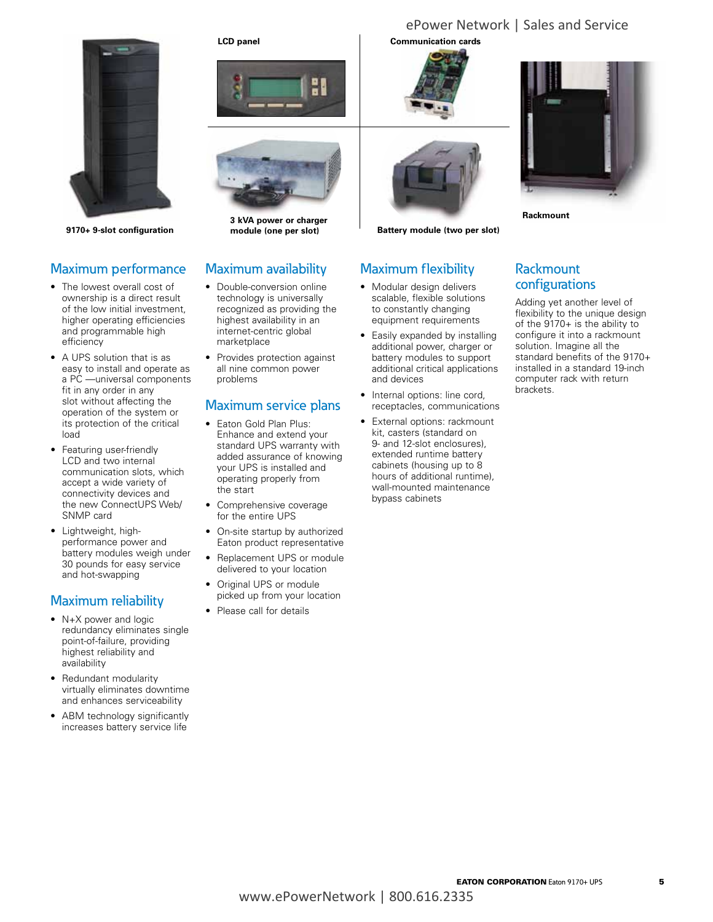

**9170+ 9-slot configuration module (one per slot)**

#### Maximum performance

- The lowest overall cost of ownership is a direct result of the low initial investment, higher operating efficiencies and programmable high efficiency
- • A UPS solution that is as easy to install and operate as a PC —universal components fit in any order in any slot without affecting the operation of the system or its protection of the critical load
- Featuring user-friendly LCD and two internal communication slots, which accept a wide variety of connectivity devices and the new ConnectUPS Web/ SNMP card
- • Lightweight, highperformance power and battery modules weigh under 30 pounds for easy service and hot-swapping

#### Maximum reliability

- N+X power and logic redundancy eliminates single point-of-failure, providing highest reliability and availability
- Redundant modularity virtually eliminates downtime and enhances serviceability
- ABM technology significantly increases battery service life





**3 kVA power or charger** 

#### Maximum availability

- Double-conversion online technology is universally recognized as providing the highest availability in an internet-centric global marketplace
- Provides protection against all nine common power problems

#### Maximum service plans

- Eaton Gold Plan Plus: Enhance and extend your standard UPS warranty with added assurance of knowing your UPS is installed and operating properly from the start
- Comprehensive coverage for the entire UPS
- On-site startup by authorized Eaton product representative
- • Replacement UPS or module delivered to your location
- Original UPS or module picked up from your location
- Please call for details

#### **LCD panel Communication cards**





**Battery module (two per slot)**

#### Maximum flexibility

- • Modular design delivers scalable, flexible solutions to constantly changing equipment requirements
- Easily expanded by installing additional power, charger or battery modules to support additional critical applications and devices
- Internal options: line cord, receptacles, communications
- • External options: rackmount kit, casters (standard on 9- and 12-slot enclosures), extended runtime battery cabinets (housing up to 8 hours of additional runtime), wall-mounted maintenance bypass cabinets



**Rackmount**

ePower Network | Sales and Service

#### Rackmount configurations

Adding yet another level of flexibility to the unique design of the 9170+ is the ability to configure it into a rackmount solution. Imagine all the standard benefits of the 9170+ installed in a standard 19-inch computer rack with return brackets.